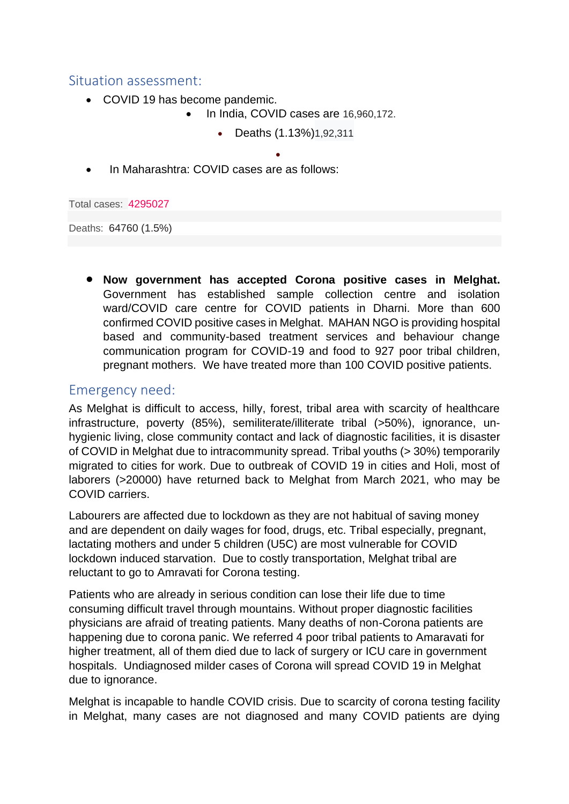### Situation assessment:

- COVID 19 has become pandemic.
	- In India, COVID cases are 16,960,172.
		- Deaths (1.13%)1,92,311

•

• In Maharashtra: COVID cases are as follows:

Total cases: 4295027

Deaths: 64760 (1.5%)

• **Now government has accepted Corona positive cases in Melghat.**  Government has established sample collection centre and isolation ward/COVID care centre for COVID patients in Dharni. More than 600 confirmed COVID positive cases in Melghat. MAHAN NGO is providing hospital based and community-based treatment services and behaviour change communication program for COVID-19 and food to 927 poor tribal children, pregnant mothers. We have treated more than 100 COVID positive patients.

# Emergency need:

As Melghat is difficult to access, hilly, forest, tribal area with scarcity of healthcare infrastructure, poverty (85%), semiliterate/illiterate tribal (>50%), ignorance, unhygienic living, close community contact and lack of diagnostic facilities, it is disaster of COVID in Melghat due to intracommunity spread. Tribal youths (> 30%) temporarily migrated to cities for work. Due to outbreak of COVID 19 in cities and Holi, most of laborers (>20000) have returned back to Melghat from March 2021, who may be COVID carriers.

Labourers are affected due to lockdown as they are not habitual of saving money and are dependent on daily wages for food, drugs, etc. Tribal especially, pregnant, lactating mothers and under 5 children (U5C) are most vulnerable for COVID lockdown induced starvation. Due to costly transportation, Melghat tribal are reluctant to go to Amravati for Corona testing.

Patients who are already in serious condition can lose their life due to time consuming difficult travel through mountains. Without proper diagnostic facilities physicians are afraid of treating patients. Many deaths of non-Corona patients are happening due to corona panic. We referred 4 poor tribal patients to Amaravati for higher treatment, all of them died due to lack of surgery or ICU care in government hospitals. Undiagnosed milder cases of Corona will spread COVID 19 in Melghat due to ignorance.

Melghat is incapable to handle COVID crisis. Due to scarcity of corona testing facility in Melghat, many cases are not diagnosed and many COVID patients are dying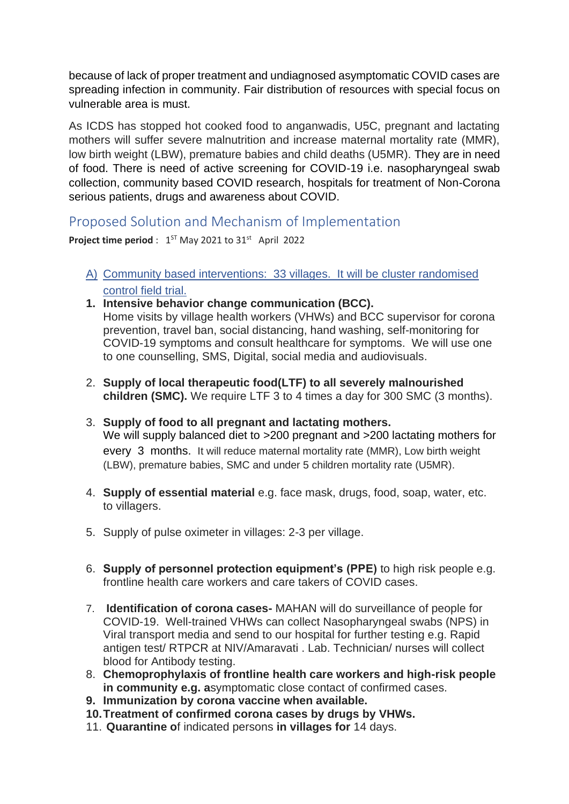because of lack of proper treatment and undiagnosed asymptomatic COVID cases are spreading infection in community. Fair distribution of resources with special focus on vulnerable area is must.

As ICDS has stopped hot cooked food to anganwadis, U5C, pregnant and lactating mothers will suffer severe malnutrition and increase maternal mortality rate (MMR), low birth weight (LBW), premature babies and child deaths (U5MR). They are in need of food. There is need of active screening for COVID-19 i.e. nasopharyngeal swab collection, community based COVID research, hospitals for treatment of Non-Corona serious patients, drugs and awareness about COVID.

# Proposed Solution and Mechanism of Implementation

**Project time period** :  $1^{ST}$  May 2021 to  $31^{st}$  April 2022

- A) Community based interventions: 33 villages. It will be cluster randomised control field trial.
- **1. Intensive behavior change communication (BCC).** Home visits by village health workers (VHWs) and BCC supervisor for corona prevention, travel ban, social distancing, hand washing, self-monitoring for COVID-19 symptoms and consult healthcare for symptoms. We will use one to one counselling, SMS, Digital, social media and audiovisuals.
- 2. **Supply of local therapeutic food(LTF) to all severely malnourished children (SMC).** We require LTF 3 to 4 times a day for 300 SMC (3 months).
- 3. **Supply of food to all pregnant and lactating mothers.** We will supply balanced diet to >200 pregnant and >200 lactating mothers for every 3 months. It will reduce maternal mortality rate (MMR), Low birth weight (LBW), premature babies, SMC and under 5 children mortality rate (U5MR).
- 4. **Supply of essential material** e.g. face mask, drugs, food, soap, water, etc. to villagers.
- 5. Supply of pulse oximeter in villages: 2-3 per village.
- 6. **Supply of personnel protection equipment's (PPE)** to high risk people e.g. frontline health care workers and care takers of COVID cases.
- 7. **Identification of corona cases-** MAHAN will do surveillance of people for COVID-19. Well-trained VHWs can collect Nasopharyngeal swabs (NPS) in Viral transport media and send to our hospital for further testing e.g. Rapid antigen test/ RTPCR at NIV/Amaravati . Lab. Technician/ nurses will collect blood for Antibody testing.
- 8. **Chemoprophylaxis of frontline health care workers and high-risk people in community e.g. a**symptomatic close contact of confirmed cases.
- **9. Immunization by corona vaccine when available.**
- **10.Treatment of confirmed corona cases by drugs by VHWs.**
- 11. **Quarantine o**f indicated persons **in villages for** 14 days.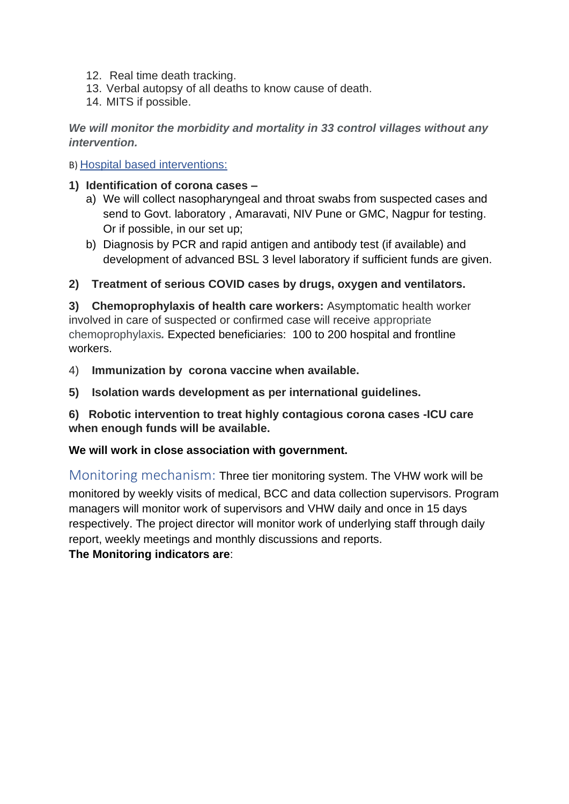- 12. Real time death tracking.
- 13. Verbal autopsy of all deaths to know cause of death.
- 14. MITS if possible.

*We will monitor the morbidity and mortality in 33 control villages without any intervention.* 

B) Hospital based interventions:

- **1) Identification of corona cases –**
	- a) We will collect nasopharyngeal and throat swabs from suspected cases and send to Govt. laboratory , Amaravati, NIV Pune or GMC, Nagpur for testing. Or if possible, in our set up;
	- b) Diagnosis by PCR and rapid antigen and antibody test (if available) and development of advanced BSL 3 level laboratory if sufficient funds are given.

**2) Treatment of serious COVID cases by drugs, oxygen and ventilators.** 

**3) Chemoprophylaxis of health care workers:** Asymptomatic health worker involved in care of suspected or confirmed case will receive appropriate chemoprophylaxis*.* Expected beneficiaries: 100 to 200 hospital and frontline workers.

- 4) **Immunization by corona vaccine when available.**
- **5) Isolation wards development as per international guidelines.**

**6) Robotic intervention to treat highly contagious corona cases -ICU care when enough funds will be available.**

#### **We will work in close association with government.**

Monitoring mechanism: Three tier monitoring system. The VHW work will be monitored by weekly visits of medical, BCC and data collection supervisors. Program managers will monitor work of supervisors and VHW daily and once in 15 days respectively. The project director will monitor work of underlying staff through daily report, weekly meetings and monthly discussions and reports.

**The Monitoring indicators are**: